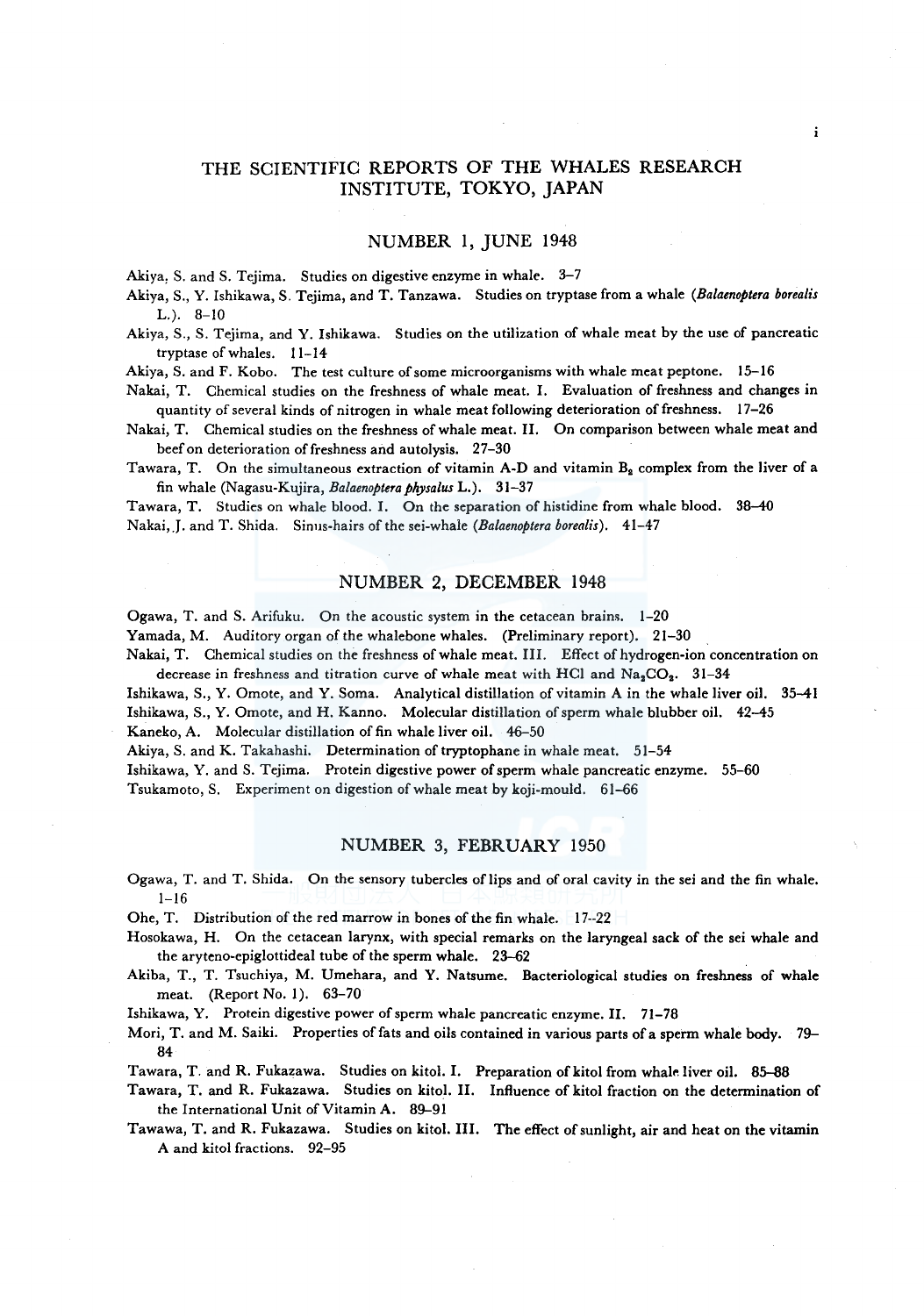# THE SCIENTIFIC REPORTS OF THE WHALES RESEARCH INSTITUTE, TOKYO, JAPAN

# NUMBER I, JUNE 1948

Akiya, S. and S. Tejima. Studies on digestive enzyme in whale. 3-7

Akiya, S., Y. Ishikawa, S. Tejima, and T. Tanzawa. Studies on tryptase from a whale *(Balaenoptera borealis*   $L.$ ). 8-10

Akiya, S., S. Tejima, and Y. Ishikawa. Studies on the utilization of whale meat by the use of pancreatic tryptase of whales. 11-14

Akiya, S. and F. Kobo. The test culture of some microorganisms with whale meat peptone. 15-16

Nakai, T. Chemical studies on the freshness of whale meat. I. Evaluation of freshness and changes in quantity of several kinds of nitrogen in whale meat following deterioration of freshness. 17-26

Nakai, T. Chemical studies on the freshness of whale meat. II. On comparison between whale meat and beef on deterioration of freshness and autolysis. 27-30

Tawara, T. On the simultaneous extraction of vitamin A-D and vitamin  $B_2$  complex from the liver of a fin whale (Nagasu-Kujira, *Balaenoptera physalus* L.). 31-37

Tawara, T. Studies on whale blood. I. On the separation of histidine from whale blood. 38-40 Nakai,.J. and T. Shida. Sinus-hairs of the sei-whale *(Balaenoptera borealis).* 41-47

## NUMBER 2, DECEMBER 1948

Ogawa, T. and S. Arifuku. On the acoustic system in the cetacean brains. 1-20

Yamada, M. Auditory organ of the whalebone whales. (Preliminary report). 21-30

Nakai, T. Chemical studies on the freshness of whale meat. III. Effect of hydrogen-ion concentration on decrease in freshness and titration curve of whale meat with HCl and  $Na<sub>2</sub>CO<sub>2</sub>$ . 31-34

Ishikawa, S., Y. Omote, and Y. Soma. Analytical distillation of vitamin A in the whale liver oil. 35-41 Ishikawa, S., Y. Omote, and H. Kanno. Molecular distillation of sperm whale blubber oil. 42-45 Kaneko, A. Molecular distillation of fin whale liver oil. 46-50

Akiya, S. and K. Takahashi. Determination of tryptophane in whale meat. 51-54

Ishikawa, Y. and S. Tejima. Protein digestive power of sperm whale pancreatic enzyme. 55-60 Tsukamoto, S. Experiment on digestion of whale meat by koji-mould. 61-66

# NUMBER 3, FEBRUARY 1950

Ogawa, T. and T. Shida. On the sensory tubercles oflips and of oral cavity in the sei and the fin whale.  $1 - 16$ 

Ohe, T. Distribution of the red marrow in bones of the fin whale. 17--22

Hosokawa, H. On the cetacean larynx, with special remarks on the laryngeal sack of the sei whale and the aryteno-epiglottideal tube of the sperm whale. 23-62

Akiba, T., T. Tsuchiya, M. Umehara, and Y. Natsume. Bacteriological studies on freshness of whale meat. (Report No. 1). 63-70

Ishikawa, Y. Protein digestive power of sperm whale pancreatic enzyme. II. 71-78

Mori, T. and M. Saiki. Properties of fats and oils contained in various parts of a sperm whale body. 79- 84

Tawara, T. and R. Fukazawa. Studies on kitol. I. Preparation of kitol from whale liver oil. 85-88

Tawara, T. and R. Fukazawa. Studies on kitol. II. Influence of kitol fraction on the determination of the International Unit of Vitamin A. 89-91

Tawawa, T. and R. Fukazawa. Studies on kitol. III. The effect of sunlight, air and heat on the vitamin A and kitol fractions. 92-95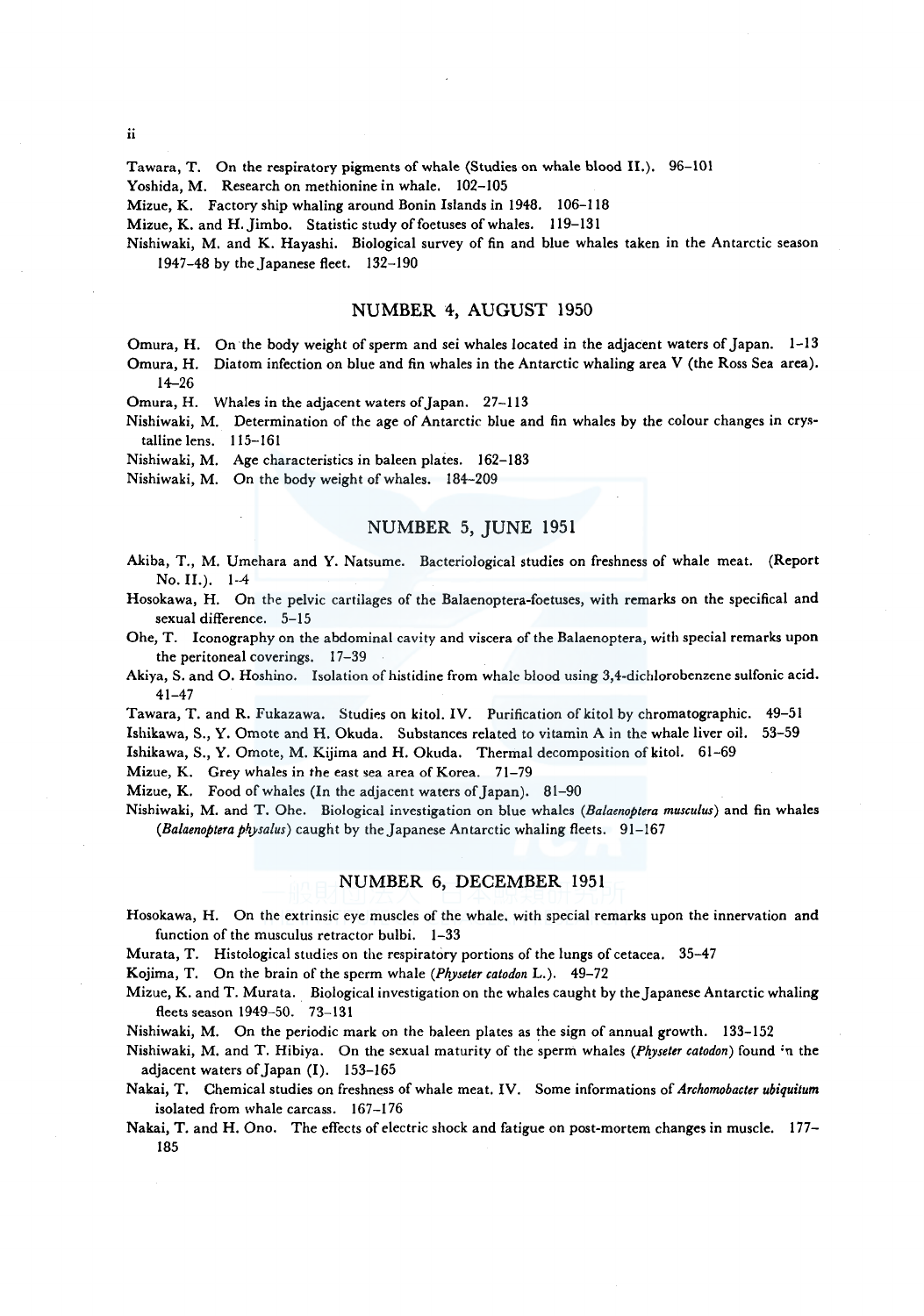ii

Tawara, T. On the respiratory pigments of whale (Studies on whale blood II.). 96-101

Yoshida, M. Research on methionine in whale. 102-105

Mizue, K. Factory ship whaling around Bonin Islands in 1948. 106-118

Mizue, K. and H. Jimbo. Statistic study of foetuses of whales. 119-131

Nishiwaki, M. and K. Hayashi. Biological survey of fin and blue whales taken in the Antarctic season 1947-48 by the Japanese fleet. 132-190

# NUMBER 4, AUGUST 1950

Omura, H. On the body weight of sperm and sei whales located in the adjacent waters of Japan. 1-13 Omura, H. Diatom infection on blue and fin whales in the Antarctic whaling area V (the Ross Sea area).

14-26

Omura, H. Whales in the adjacent waters of Japan. 27-113

Nishiwaki, M. Determination of the age of Antarctic blue and fin whales by the colour changes in crystalline lens. 115-161

Nishiwaki, M. Age characteristics in baleen plates. 162-183

Nishiwaki, M. On the body weight of whales. 184-209

# NUMBER 5, JUNE 1951

Akiba, T., M. Umehara and Y. Natsume. Bacteriological studies on freshness of whale meat. (Report No. II.). 1-4

Hosokawa, H. On the pelvic cartilages of the Balaenoptera-foetuses, with remarks on the specifical and sexual difference. 5-15

Ohe, T. Iconography on the abdominal cavity and viscera of the Balaenoptera, with special remarks upon the peritoneal coverings. 17-39

Akiya, S. and 0. Hoshino. Isolation of histidine from whale blood using 3,4-dichlorobenzene sulfonic acid. 41-47

Tawara, T. and R. Fukazawa. Studies on kitol. IV. Purification of kitol by chromatographic. 49-51

Ishikawa, S., Y. Omote and H. Okuda. Substances related to vitamin A in the whale liver oil. 53-59

Ishikawa, S., Y. Omote, M. Kijima and H. Okuda. Thermal decomposition of kitol. 61-69

Mizue, K. Grey whales in the east sea area of Korea. 71-79

Mizue, K. Food of whales (In the adjacent waters of Japan). 81-90

Nishiwaki, M. and T. Ohe. Biological investigation on blue whales *(Balaenoptera musculus)* and fin whales (*Balaenoptera physalus*) caught by the Japanese Antarctic whaling fleets. 91-167

## NUMBER 6, DECEMBER 1951

Hosokawa, H. On the extrinsic eye muscles of the whale. with special remarks upon the innervation and function of the musculus retractor bulbi. 1-33

Murata, T. Histological studies on the respiratory portions of the lungs of cetacea. 35-47

Kojima, T. On the brain of the sperm whale *(Physeter catodon* L.). 49-72

Mizue, K. and T. Murata. Biological investigation on the whales caught by the Japanese Antarctic whaling fleets season 1949-50. 73-131

Nishiwaki, M. On the periodic mark on the baleen plates as the sign of annual growth. 133-152

Nishiwaki, M. and T. Hibiya. On the sexual maturity of the sperm whales (Physeter catodon) found in the adjacent waters of Japan (I). 153-165

Nakai, T. Chemical studies on freshness of whale meat. IV. Some informations of *Archomobacter ubiquitum*  isolated from whale carcass. 167-176

Nakai, T. and H. Ono. The effects of electric shock and fatigue on post-mortem changes in muscle. 177- 185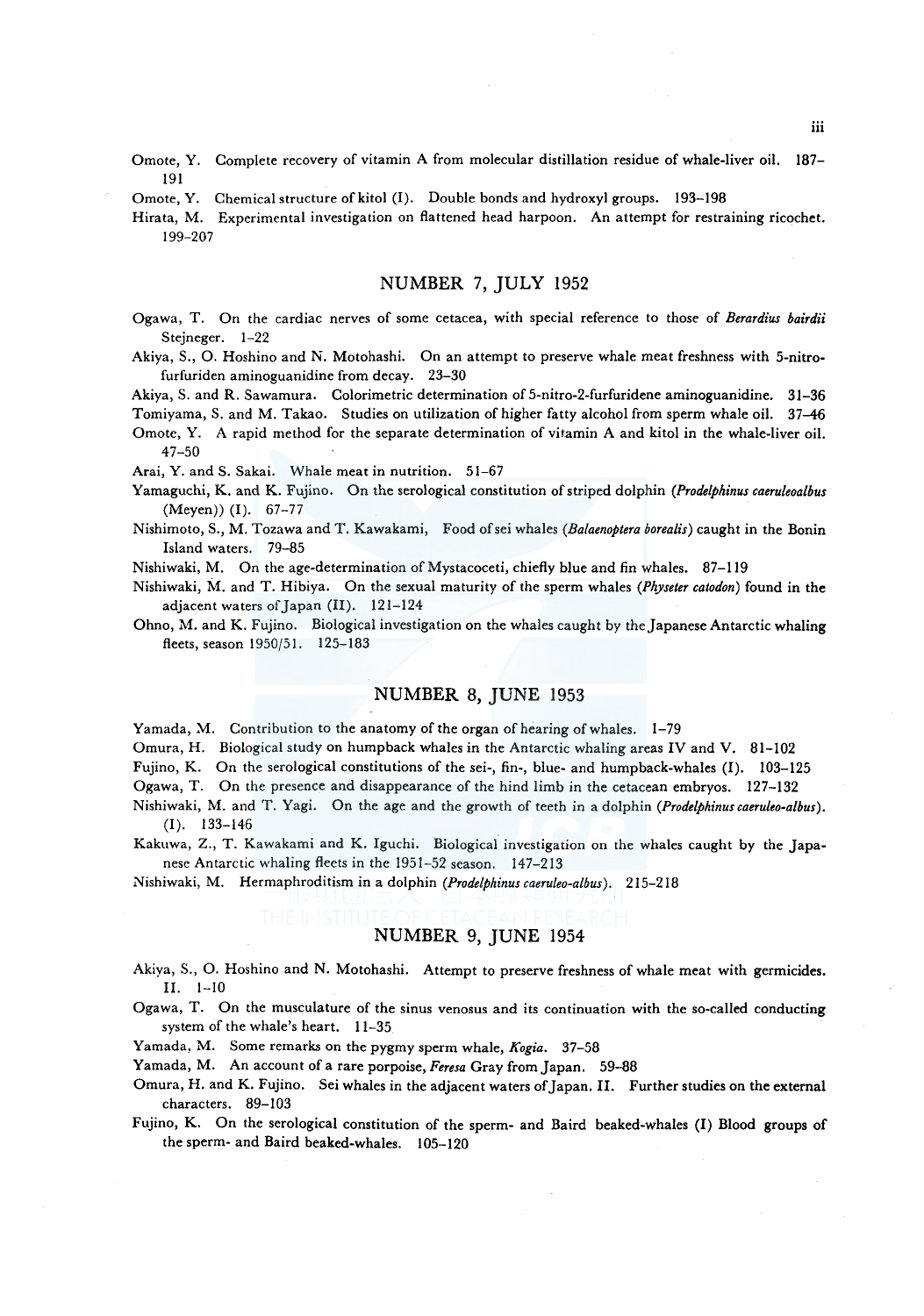- Omote, Y. Complete recovery of vitamin A from molecular distillation residue of whale-liver oil. 187- 191
- Omote, Y. Chemical structure of kitol  $(I)$ . Double bonds and hydroxyl groups. 193-198
- Hirata, M. Experimental investigation on flattened head harpoon. An attempt for restraining ricochet. 199-207

# NUMBER 7, JULY 1952

- Ogawa, T. On the cardiac nerves of some cetacea, with special reference to those of *Berardius bairdii*  Stejneger. 1-22
- Akiya, S., 0. Hoshino and N. Motohashi. On an attempt to preserve whale meat freshness with 5-nitrofurfuriden aminoguanidine from decay. 23-30

Akiya, S. and R. Sawamura. Colorimetric determination of 5-nitro-2-furfuridene aminoguanidine. 31-36

Tomiyama, S. and M. Takao. Studies on utilization of higher fatty alcohol from sperm whale oil. 37-46 Omote, Y. A rapid method for the separate determination of vitamin A and kitol in the whale-liver oil.

47-50 Arai, Y. and S. Sakai. Whale meat in nutrition. 51-67

- Yamaguchi, K. and K. Fujino. On the serological constitution of striped dolphin *(Prodelphinus caeruleoalbus*  (Meyen)) (I). 67-77
- Nishimoto, S., M. Tozawa and T. Kawakami, Food ofsei whales *(Balaenoptera borealis)* caught in the Bonin Island waters. 79-85
- Nishiwaki, M. On the age-determination of Mystacoceti, chiefly blue and fin whales. 87-119
- Nishiwaki, M. and T. Hibiya. On the sexual maturity of the sperm whales *(Physeter catodon)* found in the adjacent waters of Japan (II). 121-124
- Ohno, M. and K. Fujino. Biological investigation on the whales caught by the Japanese Antarctic whaling fleets, season 1950/51. 125-183

# NUMBER 8, JUNE 1953

Yamada, M. Contribution to the anatomy of the organ of hearing of whales. 1-79

Omura, H. Biological study on humpback whales in the Antarctic whaling areas IV and V. 81-102

Fujino, K. On the serological constitutions of the sei-, fin-, blue- and humpback-whales (I). 103-125

Ogawa, T. On the presence and disappearance of the hind limb in the cetacean embryos. 127-132

- Nishiwaki, M. and T. Yagi. On the age and the growth of teeth in a dolphin *(Prodelphinuscaeruleo-albus).*  (I). 133-146
- Kakuwa, Z., T. Kawakami and K. Iguchi. Biological investigation on the whales caught by the Japanese Antarctic whaling fleets in the 1951-52 season. 147-213

Nishiwaki, M. Hermaphroditism in a dolphin *(Prodelphinus caeruleo-albus* ). 215-218

# NUMBER 9, JUNE 1954

- Akiya, S., 0. Hoshino and N. Motohashi. Attempt to preserve freshness of whale meat with germicides. II. 1-10
- Ogawa, T. On the musculature of the sinus venosus and its continuation with the so-called conducting system of the whale's heart. 11-35
- Yamada, M. Some remarks on the pygmy sperm whale, *Kogia.* 37-58

Yamada, M. An account of a rare porpoise, *Feresa* Gray from Japan. 59-88

Omura, H. and K. Fujino. Sei whales in the adjacent waters of Japan. II. Further studies on the external characters. 89-103

Fujino, K. On the serological constitution of the sperm- and Baird beaked-whales (I) Blood groups of the sperm- and Baird beaked-whales. 105-120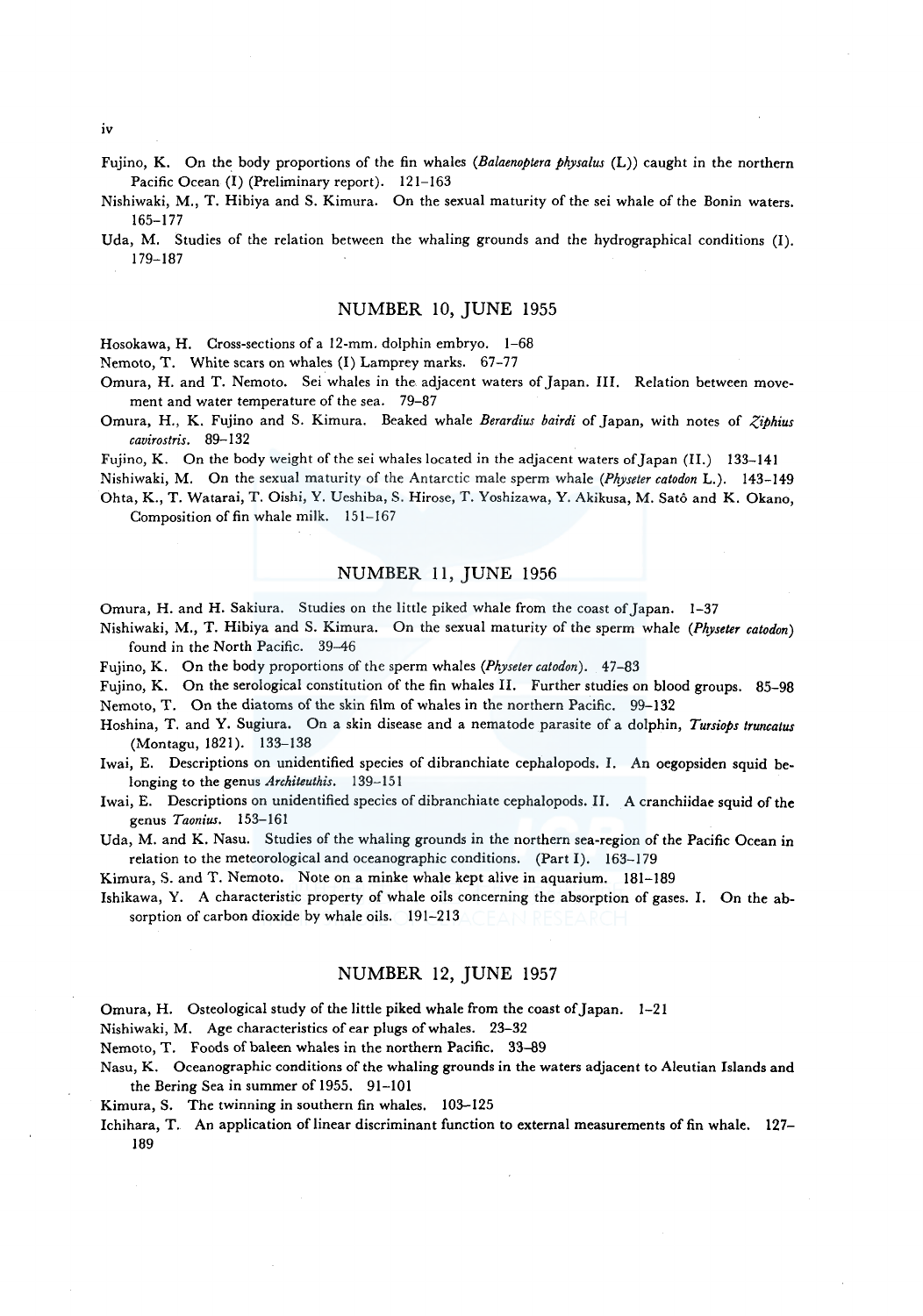iv

- Fujino, K. On the body proportions of the fin whales *(Balaenoptera physalus* (L)) caught in the northern Pacific Ocean (I) (Preliminary report). 121-163
- Nishiwaki, M., T. Hibiya and S. Kimura. On the sexual maturity of the sei whale of the Bonin waters. 165-177
- Uda, M. Studies of the relation between the whaling grounds and the hydrographical conditions (I). 179-187

# NUMBER 10, JUNE 1955

Hosokawa, H. Cross-sections of a 12-mm. dolphin embryo. 1-68

Nemoto, T. White scars on whales (I) Lamprey marks. 67-77

- Omura, H. and T. Nemoto. Sei whales in the adjacent waters of Japan. III. Relation between movement and water temperature of the sea. 79-87
- Omura, H., K. Fujino and S. Kimura. Beaked whale *Berardius bairdi* of Japan, with notes of *-?,iphius cavirostris.* 89-132

Fujino, K. On the body weight of the sei whales located in the adjacent waters of Japan (II.) 133-141

Nishiwaki, M. On the sexual maturity of the Antarctic male sperm whale *(Physeter catodon* L.). 143-149 Ohta, K., T. Watarai, T. Oishi, Y. Ueshiba, S. Hirose, T. Yoshizawa, Y. Akikusa, M. Sato and K. Okano, Composition of fin whale milk. 151-167

NUMBER 11, JUNE 1956

Omura, H. and H. Sakiura. Studies on the little piked whale from the coast of Japan. 1-37

- Nishiwaki, M., T. Hibiya and S. Kimura. On the sexual maturity of the sperm whale *(Physeter catodon)*  found in the North Pacific. 39-46
- Fujino, K. On the body proportions of the sperm whales *(Physeter catodon).* 47-83

Fujino, K. On the serological constitution of the fin whales II. Further studies on blood groups. 85-98 Nemoto, T. On the diatoms of the skin film of whales in the northern Pacific. 99-132

Hoshina, T. and Y. Sugiura. On a skin disease and a nematode parasite of a dolphin, *Tursiops truncatus*  (Montagu, 1821). 133-138

Iwai, E. Descriptions on unidentified species of dibranchiate cephalopods. I. An oegopsiden squid belonging to the genus *Architeuthis.* 139-151

Iwai, E. Descriptions on unidentified species of dibranchiate cephalopods. II. A cranchiidae squid of the genus *Taonius.* 153-161

Uda, M. and K. Nasu. Studies of the whaling grounds in the northern sea-region of the Pacific Ocean in relation to the meteorological and oceanographic conditions. (Part I). 163-179

Kimura, S. and T. Nemoto. Note on a minke whale kept alive in aquarium. 181-189

Ishikawa, Y. A characteristic property of whale oils concerning the absorption of gases. I. On the absorption of carbon dioxide by whale oils. 191-213

#### NUMBER 12, JUNE 1957

Omura, H. Osteological study of the little piked whale from the coast of Japan. 1-21

Nishiwaki, M. Age characteristics of ear plugs of whales. 23-32

Nemoto, T. Foods of baleen whales in the northern Pacific. 33-89

- Nasu, K. Oceanographic conditions of the whaling grounds in the waters adjacent to Aleutian Islands and the Bering Sea in summer of 1955. 91-101
- Kimura, S. The twinning in southern fin whales. 103-125
- Ichihara, T. An application of linear discriminant function to external measurements of fin whale. 127- 189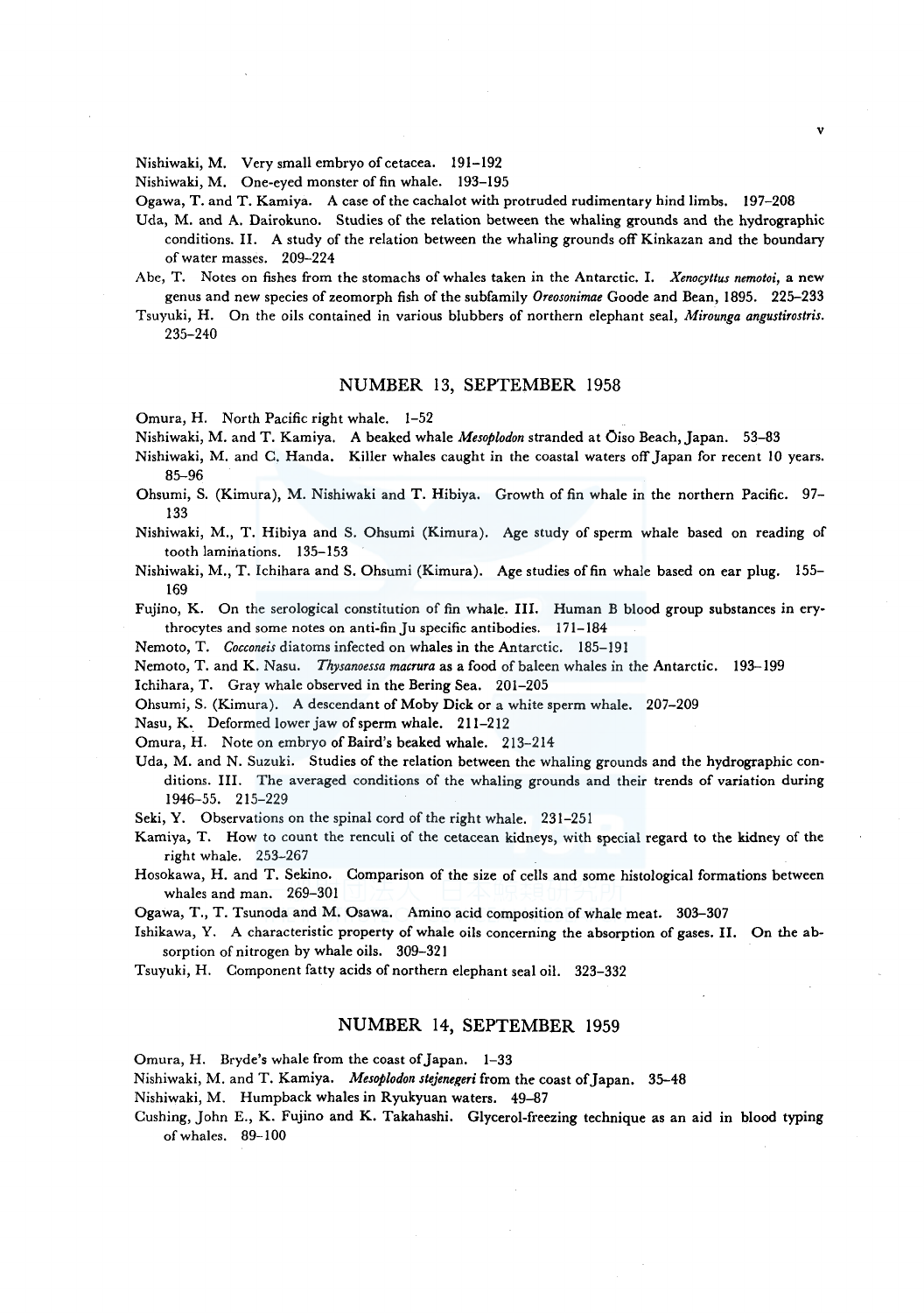Nishiwaki, M. Very small embryo of cetacea. 191-192

Nishiwaki, M. One-eyed monster of fin whale. 193-195

Ogawa, T. and T. Kamiya. A case of the cachalot with protruded rudimentary hind limbs. 197-208

- Uda, M. and A. Dairokuno. Studies of the relation between the whaling grounds and the hydrographic conditions. II. A study of the relation between the whaling grounds off Kinkazan and the boundary of water masses. 209-224
- Abe, T. Notes on fishes from the stomachs of whales taken in the Antarctic. I. *Xenocyttus nemotoi,* a new genus and new species of zeomorph fish of the subfamily *Oreosonimae* Goode and Bean, 1895. 225-233
- Tsuyuki, H. On the oils contained in various blubbers of northern elephant seal, *Mirounga angustirostris.*  235-240

# NUMBER 13, SEPTEMBER 1958

Omura, H. North Pacific right whale. 1-52

Nishiwaki, M. and T. Kamiya. A beaked whale *Mesoplodon* stranded at Oiso Beach, Japan. 53-83

- Nishiwaki, M. and C. Randa, Killer whales caught in the coastal waters off Japan for recent 10 years. 85-96
- Ohsumi, S. (Kimura), M. Nishiwaki and T. Hibiya. Growth of fin whale in the northern Pacific. 97- 133
- Nishiwaki, M., T. Hibiya and S. Ohsumi (Kimura). Age study of sperm whale based on reading of tooth laminations. 135-153
- Nishiwaki, M., T. Ichihara and S. Ohsumi (Kimura). Age studies of fin whale based on ear plug. 155- 169

Fujino, K. On the serological constitution of fin whale. III. Human B blood group substances in erythrocytes and some notes on anti-fin Ju specific antibodies. 171-184

Nemoto, T. *Cocconeis* diatoms infected on whales in the Antarctic. 185-191

Nemoto, T. and K. Nasu. *Thysanoessa macrura* as a food of baleen whales in the Antarctic. 193-199

Ichihara, T. Gray whale observed in the Bering Sea. 201-205

Ohsumi, S. (Kimura). A descendant of Moby Dick or a white sperm whale. 207-209

Nasu, K.. Deformed lower jaw of sperm whale. 211-212

Omura, H. Note on embryo of Baird's beaked whale. 213-214

Uda, M. and N. Suzuki. Studies of the relation between the whaling grounds and the hydrographic conditions. III. The averaged conditions of the whaling grounds and their trends of variation during 1946-55. 215-229

Seki, Y. Observations on the spinal cord of the right whale. 231-251

Kamiya, T. How to count the renculi of the cetacean kidneys, with special regard to the kidney of the right whale. 253-267

Hosokawa, H. and T. Sekino. Comparison of the size of cells and some histological formations between whales and man. 269-301

Ogawa, T., T. Tsunoda and M. Osawa. Amino acid composition of whale meat. 303-307

Ishikawa, Y. A characteristic property of whale oils concerning the absorption of gases. II. On the absorption of nitrogen by whale oils. 309-321

Tsuyuki, H. Component fatty acids of northern elephant seal oil. 323-332

# NUMBER 14, SEPTEMBER 1959

Omura, H. Bryde's whale from the coast of Japan. 1-33

Nishiwaki, M. and T. Kamiya. *Mesoplodon stejenegeri* from the coast of Japan. 35-48

Nishiwaki, M. Humpback whales in Ryukyuan waters. 49-87

Cushing, John E., K. Fujino and K. Takahashi. Glycerol-freezing technique as an aid in blood typing of whales. 89-100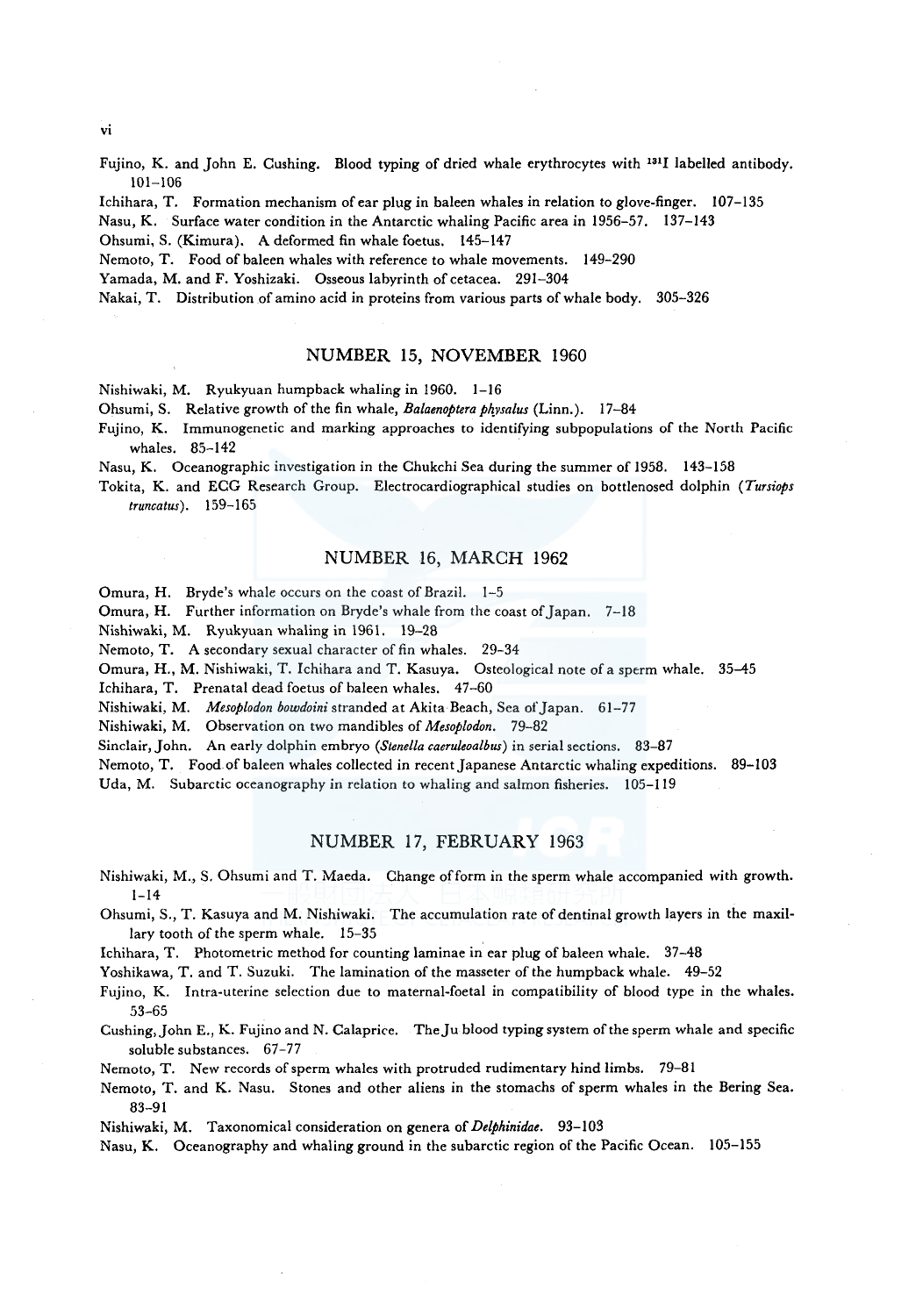Fujino, K. and John E. Cushing. Blood typing of dried whale erythrocytes with 1311 labelled antibody.

101-106 Ichihara, T. Formation mechanism of ear plug in baleen whales in relation to glove-finger. 107-135

Nasu, K. Surface water condition in the Antarctic whaling Pacific area in 1956-57. 137-143

Ohsumi, S. (Kimura). A deformed fin whale foetus. 145-147

Nemoto, T. Food of baleen whales with reference to whale movements. 149-290

Yamada, M. and F. Yoshizaki. Osseous labyrinth of cetacea. 291-304

Nakai, T. Distribution of amino acid in proteins from various parts of whale body. 305-326

# NUMBER 15, NOVEMBER 1960

Nishiwaki, M. Ryukyuan humpback whaling in 1960. 1-16

Ohsumi, S. Relative growth of the fin whale, *Balaenoptera ph\_vsalus* (Linn.). 17-84

Fujino, K. Immunogenetic and marking approaches to identifying subpopulations of the North Pacific whales. 85-142

Nasu, K. Oceanographic investigation in the Chukchi Sea during the summer of 1958. 143-158

Tokita, K. and ECG Research Group. Electrocardiographical studies on bottlenosed dolphin *(Tursiops truncatus).* 159-165

# NUMBER 16, MARCH 1962

Omura, H. Bryde's whale occurs on the coast of Brazil. 1-5

Omura, H. Further information on Bryde's whale from the coast of Japan. 7-18

Nishiwaki, M. Ryukyuan whaling in 1961. 19-28

Nemoto, T. A secondary sexual character of fin whales. 29-34

Omura, H., M. Nishiwaki, T. Ichihara and T. Kasuya. Osteological note of a sperm whale. 35-45

Ichihara, T. Prenatal dead foetus of baleen whales. 47-60

Nishiwaki, M. *Mesoplodon bowdoini* stranded at Akita Beach, Sea of Japan. 61-77

Nishiwaki, M. Observation on two mandibles of *Mesoplodon.* 79-82

Sinclair, John. An early dolphin embryo *(Stenella caeruleoalbus)* in serial sections. 83-87

Nemoto, T. Food of baleen whales collected in recent Japanese Antarctic whaling expeditions. 89-103 Uda, M. Subarctic oceanography in relation to whaling and salmon fisheries. 105-119

# NUMBER 17, FEBRUARY 1963

Nishiwaki, M., S. Ohsumi and T. Maeda. Change of form in the sperm whale accompanied with growth.  $1 - 14$ 

Ohsumi, S., T. Kasuya and M. Nishiwaki. The accumulation rate of dentinal growth layers in the maxillary tooth of the sperm whale. 15-35

Ichihara, T. Photometric method for counting laminae in ear plug of baleen whale. 37-48

Yoshikawa, T. and T. Suzuki. The lamination of the masseter of the humpback whale. 49-52

Fujino, K. Intra-uterine selection due to maternal-foetal in compatibility of blood type in the whales. 53-65

Cushing, John E., K. Fujino and N. Calaprice. The Ju blood typing system of the sperm whale and specific soluble substances. 67-77

Nemoto, T. New records of sperm whales with protruded rudimentary hind limbs. 79-81

Nemoto, T. and K. Nasu. Stones and other aliens in the stomachs of sperm whales in the Bering Sea. 83-91

Nishiwaki, M. Taxonomical consideration on genera of *Delphinidae.* 93-103

Nasu, K. Oceanography and whaling ground in the subarctic region of the Pacific Ocean. 105-155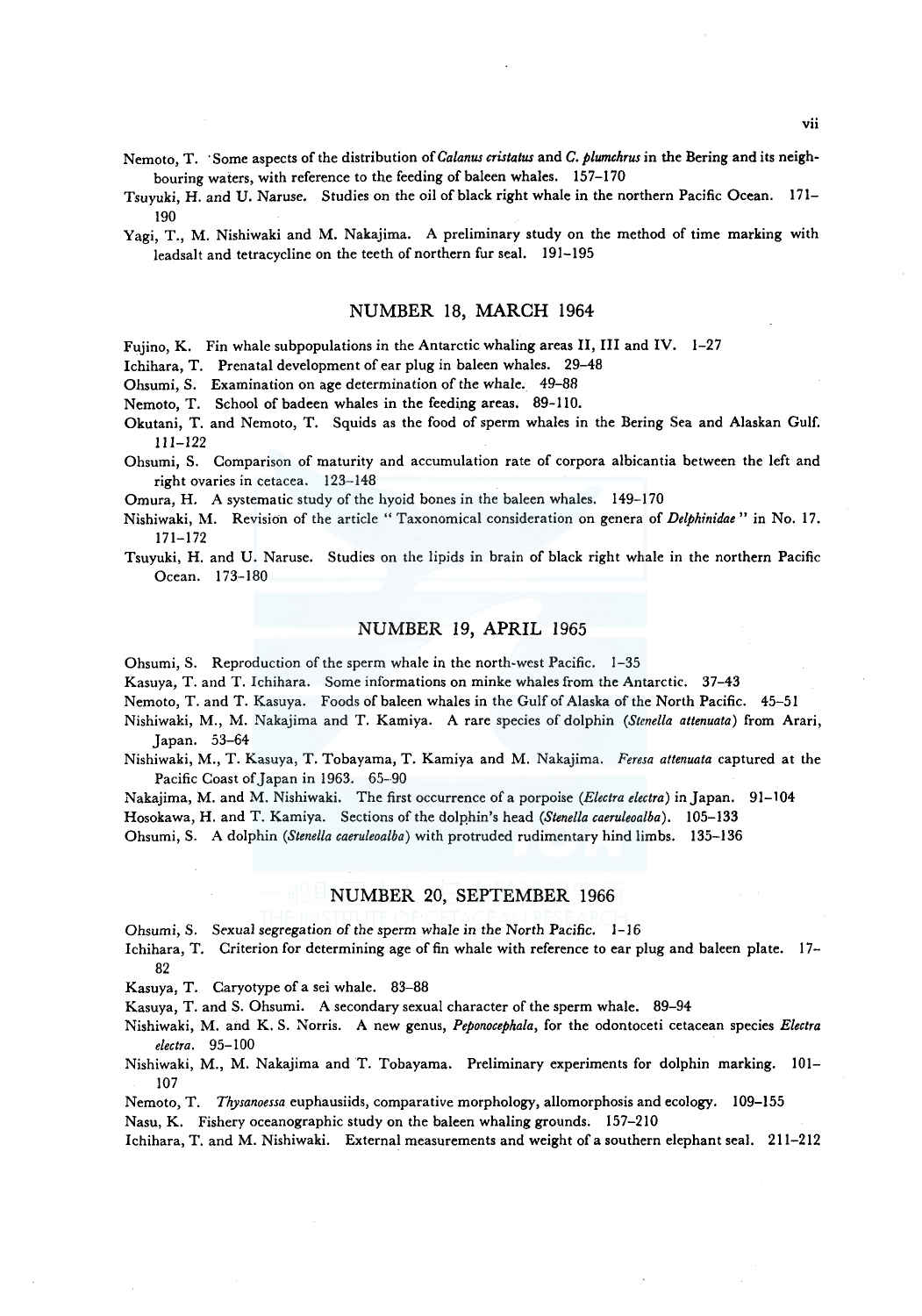Nemoto, T. ·Some aspects of the distribution of *Ca/anus cristatus* and *C. plumchrus* in the Bering and its neighbouring waters, with reference to the feeding of baleen whales. 157-170

Tsuyuki, H. and U. Naruse. Studies on the oil of black right whale in the northern Pacific Ocean. 171- 190

Yagi, T., M. Nishiwaki and M. Nakajima. A preliminary study on the method of time marking with leadsalt and tetracycline on the teeth of northern fur seal. 191-195

## NUMBER 18, MARCH 1964

Fujino, K. Fin whale subpopulations in the Antarctic whaling areas II, III and IV. 1-27

Ichihara, T. Prenatal development of ear plug in baleen whales. 29-48

Ohsumi, S. Examination on age determination of the whale. 49-88

Nemoto, T. School of badeen whales in the feeding areas. 89-110.

- Okutani, T. and Nemoto, T. Squids as the food of sperm whales in the Bering Sea and Alaskan Gulf. 111-122
- Ohsumi, S. Comparison of maturity and accumulation rate of corpora albicantia between the left and right ovaries in cetacea. 123-148

Omura, H. A systematic study of the hyoid bones in the baleen whales. 149-170

- Nishiwaki, M. Revision of the article " Taxonomical consideration on genera of *Delphinidae*" in No. 17. 171-172
- Tsuyuki, H. and U. Naruse. Studies on the lipids in brain of black right whale in the northern Pacific Ocean. 173-180

# NUMBER 19, APRIL 1965

Ohsumi, S. Reproduction of the sperm whale in the north-west Pacific. 1-35

Kasuya, T. and T. Ichihara. *Some* informations on minke whales from the Antarctic. 37-43

Nemoto, T. and T. Kasuya. Foods of baleen whales in the Gulf of Alaska of the North Pacific. 45-51

- Nishiwaki, M., M. Nakajima and T. Kamiya. A rare species of dolphin *(Stenella attenuata)* from Arari, Japan. 53-64
- Nishiwaki, M., T. Kasuya, T. Tobayama, T. Kamiya and M. Nakajima. *Feresa attenuata* captured at the Pacific Coast of Japan in 1963. 65-90

Nakajima, M. and M. Nishiwaki. The first occurrence of a porpoise *(Electra electra)* in Japan. 91-104

Hosokawa, H. and T. Kamiya. Sections of the dolphin's head *(Stenella caeruleoalba)*. 105-133

Ohsumi, S. A dolphin *(Stenella caeruleoalba)* with protruded rudimentary hind limbs. 135-136

#### NUMBER 20, SEPTEMBER 1966

Ohsumi, S. Sexual segregation of the sperm whale in the North Pacific. 1-16

lchihara, T. Criterion for determining age of fin whale with reference to ear plug and baleen plate. 17- 82

Kasuya, T. Caryotype of a sei whale. 83-88

Kasuya, T. and S. Ohsumi. A secondary sexual character of the sperm whale. 89-94

Nishiwaki, M. and K. S. Norris. A new genus, *Peponocephala,* for the odontoceti cetacean species *Electra eleclra.* 95-100

Nishiwaki, M., M. Nakajima and T. Tobayama. Preliminary experiments for dolphin marking. 101- 107

Nemoto, T. *Thysanoessa* euphausiids, comparative morphology, allomorphosis and ecology. 109-155

Nasu, K. Fishery oceanographic study on the baleen whaling grounds. 157-210

Ichihara, T. and M. Nishiwaki. External measurements and weight of a southern elephant seal. 211-212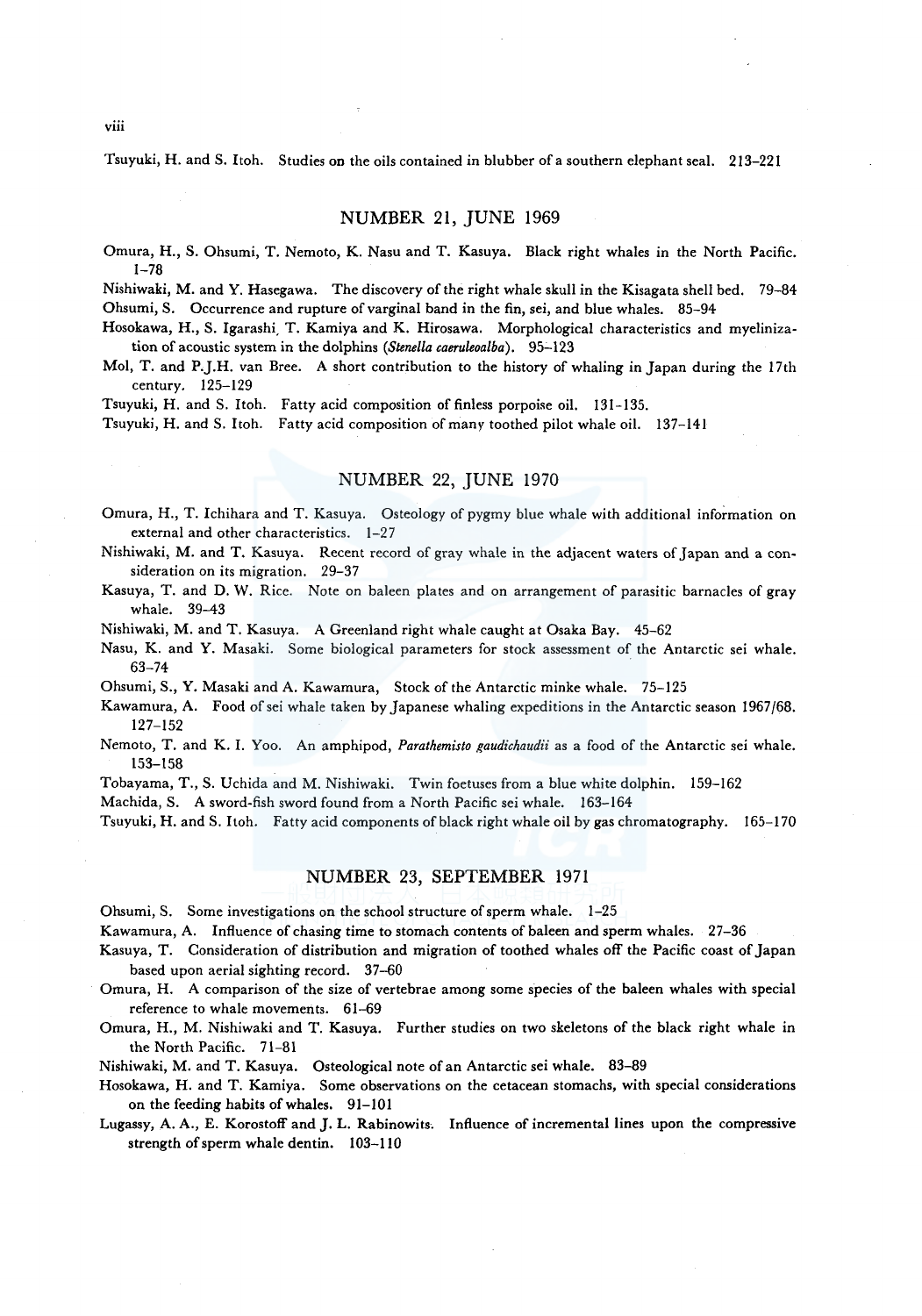Tsuyuki, H. and S. Itoh. Studies on the oils contained in blubber of a southern elephant seal. 213-221

# NUMBER 21, JUNE 1969

Omura, H., S. Ohsumi, T. Nemoto, K. Nasu and T. Kasuya. Black right whales in the North Pacific. 1-78

Nishiwaki, M. and Y. Hasegawa. The discovery of the right whale skull in the Kisagata shell bed. 79-84 Ohsumi, S. Occurrence and rupture of varginal band in the fin, sei, and blue whales. 85-94

Hosokawa, H., S. Igarashi, T. Kamiya and K. Hirosawa. Morphological characteristics and myelinization of acoustic system in the dolphins *(Stenella caeruleoalba)*. 95-123

Mo!, T. and P.J.H. van Bree. A short contribution to the history of whaling in Japan during the I 7th century. 125-129

Tsuyuki, H. and S. Itoh. Fatty acid composition of finless porpoise oil. 131-135.

Tsuyuki, H. and S. Itoh. Fatty acid composition of many toothed pilot whale oil. 137-141

# NUMBER 22, JUNE 1970

Omura, H., T. Ichihara and T. Kasuya. Osteology of pygmy blue whale with additional information on external and other characteristics. 1-27

Nishiwaki, M. and T. Kasuya. Recent record of gray whale in the adjacent waters of Japan and a consideration on its migration. 29-37

Kasuya, T. and D. W. Rice. Note on baleen plates and on arrangement of parasitic barnacles of gray whale. 39-43

Nishiwaki, M. and T. Kasuya. A Greenland right whale caught at Osaka Bay. 45-62

Nasu, K. and Y. Masaki. Some biological parameters for stock assessment of the Antarctic sei whale. 63-74

Ohsumi, S., Y. Masaki and A. Kawamura, Stock of the Antarctic minke whale. 75-125

Kawamura, A. Food ofsei whale taken by Japanese whaling expeditions in the Antarctic season 1967/68. 127-152

Nemoto, T. and K. I. Yoo. An amphipod, *Parathemisto gaudichaudii* as a food of the Antarctic sei whale. 153-158

Tobayama, T., S. Uchida and M. Nishiwaki. Twin foetuses from a blue white dolphin. 159-162

Machida, S. A sword-fish sword found from a North Pacific sei whale. 163-164

Tsuyuki, H. and S. Itoh. Fatty acid components of black right whale oil by gas chromatography. 165-170

#### NUMBER 23, SEPTEMBER 1971

Ohsumi, S. Some investigations on the school structure of sperm whale. 1-25

Kawamura, A. Influence of chasing time to stomach contents of baleen and sperm whales. 27-36

Kasuya, T. Consideration of distribution and migration of toothed whales off the Pacific coast of Japan based upon aerial sighting record. 37-60

Omura, H. A comparison of the size of vertebrae among some species of the baleen whales with special reference to whale movements. 61-69

Omura, H., M. Nishiwaki and T. Kasuya. Further studies on two skeletons of the black right whale in the North Pacific. 71-81

Nishiwaki, M. and T. Kasuya. Osteological note of an Antarctic sei whale. 83-89

Hosokawa, H. and T. Kamiya. Some observations on the cetacean stomachs, with special considerations on the feeding habits of whales. 91-101

Lugassy, A. A., E. Korostoff and J. L. Rabinowits. Influence of incremental lines upon the compressive strength of sperm whale dentin. 103-110

viii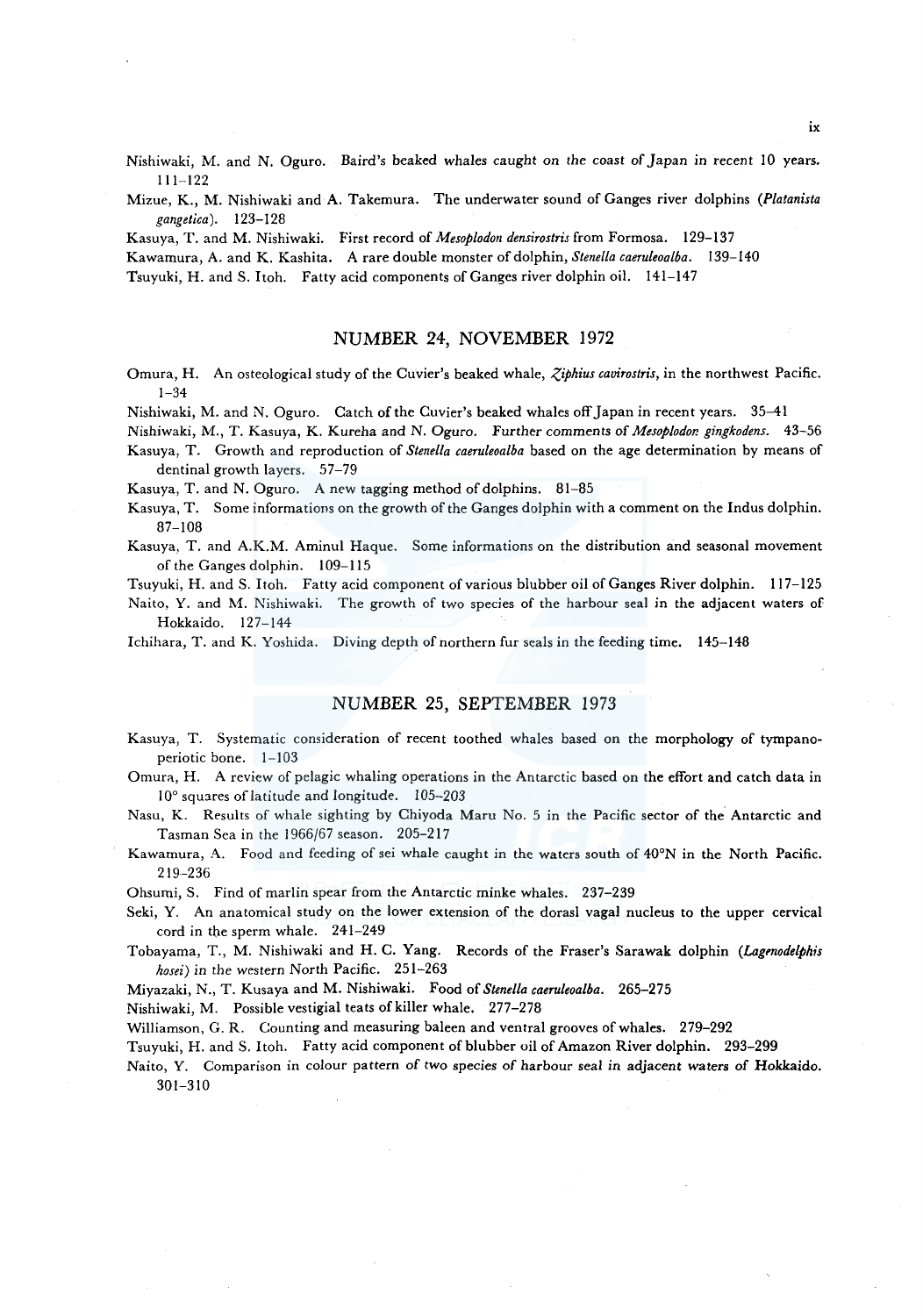Nishiwaki, M. and N. Oguro. Baird's beaked whales caught on *the* coast of Japan in recent JO years. 111-122

Mizue, K., M. Nishiwaki and A. Takemura. The underwater sound of Ganges river dolphins *(Platanista gangetica).* 123-128

Kasuya, T. and M. Nishiwaki. First record of *Mesoplodon densirostris* from Formosa. 129-137

Kawamura, A. and K. Kashita. A rare double monster of dolphin, *Stene/la caeruleoalba.* 139-140

Tsuyuki, H. and S. Itoh. Fatty acid components of Ganges river dolphin oil. 141-147

#### NUMBER 24, NOVEMBER 1972

Omura, H. An osteological study of the Cuvier's beaked whale, *Ziphius cavirostris*, in the northwest Pacific. 1-34

Nishiwaki, M. and N. Oguro. Catch of the Cuvier's beaked whales off Japan in recent years. 35-41

Nishiwaki, M., T. Kasuya, K. Kureha and N. Oguro. Further comments of *Mesoplodor. gingkodens.* 43-56 Kasuya, T. Growth and reproduction of *Stene/la caeruleoalba* based on the age determination by means of dentinal growth layers. 57-79

Kasuya, T. and N. Oguro. A new tagging method of dolphins. 81-85

Kasuya, T. Some informations on the growth of the Ganges dolphin with a comment on the Indus dolphin. 87-108

Kasuya, T. and A.K.M. Aminul Haque. Some informations on the distribution and seasonal movement of the Ganges dolphin. 109-115

Tsuyuki, H. and S. ltoh. Fatty acid component of various blubber oil of Ganges River dolphin. 117-125

Naito, Y. and M. Nishiwaki. The growth of two species of the harbour seal in the adjacent waters of Hokkaido. 127-144

Ichihara, T. and K. Yoshida. Diving depth of northern fur seals in the feeding time. 145-148

## NUMBER 25, SEPTEMBER 1973

Kasuya, T. Systematic consideration of recent toothed whales based on the morphology of tympanoperiotic bone. 1-103

Omura, H. A review of pelagic whaling operations in the Antarctic based on the effort and catch data in 10° squares of latitude and longitude. 105-203

Nasu, K. Results of whale sighting by Chiyoda Maru No. 5 in the Pacific sector of the Antarctic and Tasman Sea in the 1966/67 season. 205-217

Kawamura, A. Food and feeding of sei whale caught in the waters south of 40°N in the North Pacific. 219-236

Ohsumi, S. Find of marlin spear from the Antarctic minke whales. 237-239

Seki, Y. An anatomical study on the lower extension of the dorasl vagal nucleus to the upper cervical cord in the sperm whale. 241-249

Tobayama, T., M. Nishiwaki and H. C. Yang. Records of the Fraser's Sarawak dolphin *(Lagmodelphis hosei)* in the western North Pacific. 251-263

Miyazaki, N., T. Kusaya and M. Nishiwaki. Food of *Stene/la caeruleoalba.* 265-275

Nishiwaki, M. Possible vestigial teats of killer whale. 277-278

Williamson, G. R. Counting and measuring baleen and ventral grooves of whales. 279-292

Tsuyuki, H. and S. Itoh. Fatty acid component of blubber oil of Amazon River dolphin. 293-299

Naito, Y. Comparison in colour pattern of two species of harbour seal in adjacent waters of Hokkaido. 301-310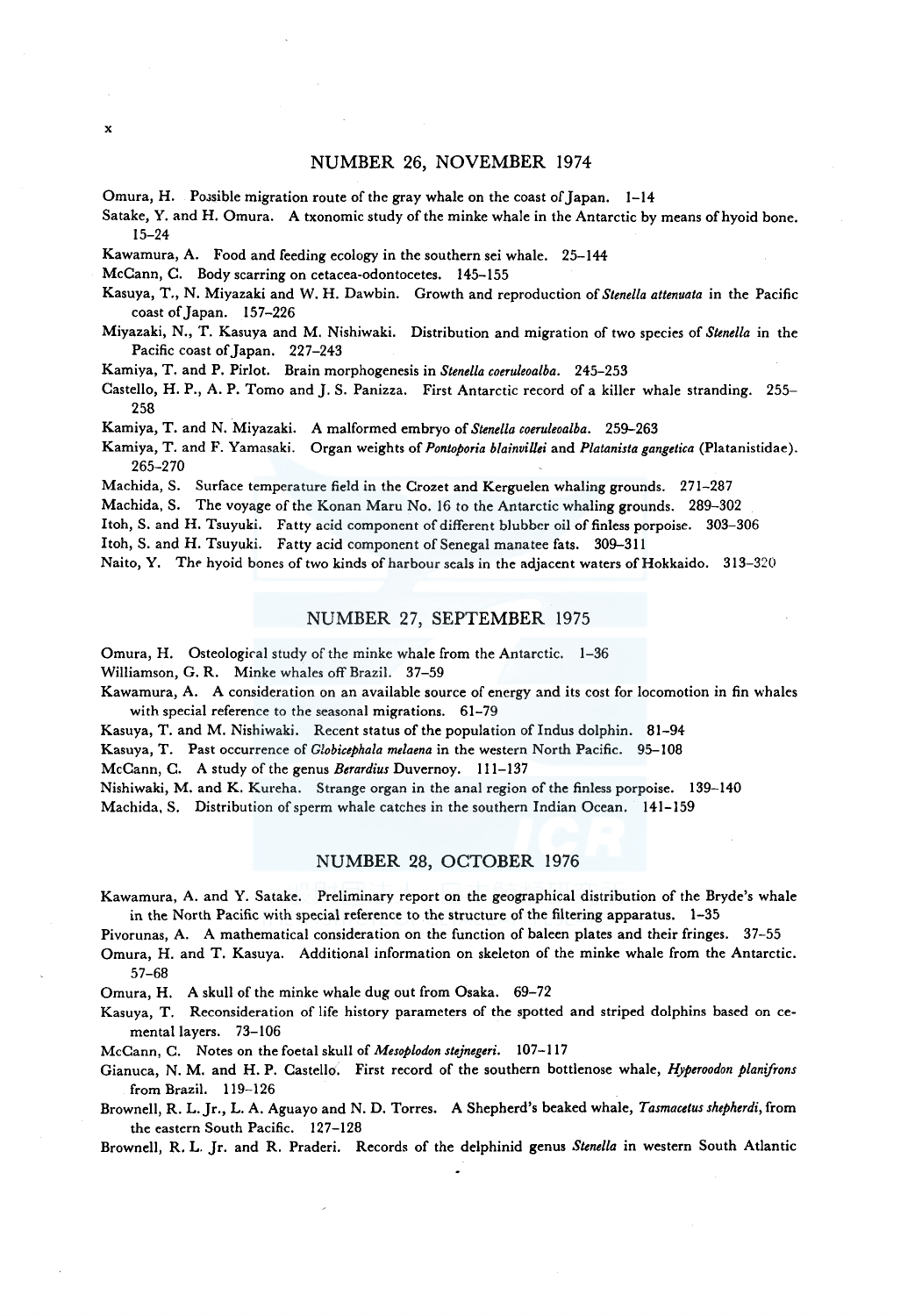#### NUMBER 26, NOVEMBER 1974

Omura, H. Possible migration route of the gray whale on the coast of Japan. 1-14

Satake, Y. and H. Omura. A txonomic study of the minke whale in the Antarctic by means of hyoid bone. 15-24

Kawamura, A. Food and feeding ecology in the southern sei whale. 25-144

McCann, C. Body scarring on cetacea-odontocetes. 145-155

- Kasuya, T., N. Miyazaki and W. H. Dawbin. Growth and reproduction of *Stene/la attenuata* in the Pacific coast of Japan. 157-226
- Miyazaki, N., T. Kasuya and M. Nishiwaki. Distribution and migration of two species of *Stene/la* in the Pacific coast of Japan. 227-243

Kamiya, T. and P. Pirlot. Brain morphogenesis in *Stenella coeruleoalba.* 245-253

Castello, H. P., A. P. Tomo and J. S. Panizza. First Antarctic record of a killer whale stranding. 255-258

Kamiya, T. and N. Miyazaki. A malformed embryo of *Stenella coeruleoalba.* 259-263

Kamiya, T. and F. Yamasaki. Organ weights of *Pontoporia blainvillei* and *Platanista gangetica* (Platanistidae). 265-270

Machida, S. Surface temperature field in the Crozet and Kerguelen whaling grounds. 271-287

Machida, S. The voyage of the Konan Maru No. 16 to the Antarctic whaling grounds. 289-302

Itoh, S. and H. Tsuyuki. Fatty acid component of different blubber oil of finless porpoise. 303-306

Itoh, S. and H. Tsuyuki. Fatty acid component of Senegal manatee fats. 309-311

Naito, Y. The hyoid bones of two kinds of harbour seals in the adjacent waters of Hokkaido. 313-320

## NUMBER 27, SEPTEMBER 1975

Omura, H. Osteological study of the minke whale from the Antarctic. 1-36

Williamson, G. R. Minke whales off Brazil. 37-59

Kawamura, A. A consideration on an available source of energy and its cost for locomotion in fin whales with special reference to the seasonal migrations. 61-79

Kasuya, T. and M. Nishiwaki. Recent status of the population of Indus dolphin. 81-94

Kasuya, T. Past occurrence of *Globicephala melaena* in the western North Pacific. 95-108

McCann, C. A study of the genus *Berardius* Duvernoy. 111-137

Nishiwaki, M. and K. Kureha. Strange organ in the anal region of the finless porpoise. 139-140

Machida, S. Distribution of sperm whale catches in the southern Indian Ocean. 141-159

## NUMBER 28, OCTOBER 1976

Kawamura, A. and Y. Satake. Preliminary report on the geographical distribution of the Bryde's whale in the North Pacific with special reference to the structure of the filtering apparatus. 1-35

Pivorunas, A. A mathematical consideration on the function of baleen plates and their fringes. 37-55

Omura, H. and T. Kasuya. Additional information on skeleton of the minke whale from the Antarctic. 57-68

Omura, H. A skull of the minke whale dug out from Osaka. 69-72

Kasuya, T. Reconsideration of life history parameters of the spotted and striped dolphins based on cementa! layers. 73-106

McCann, C. Notes on the foetal skull of *Mesoplodon stejnegeri.* 107-117

Gianuca, N. M. and H.P. Castello. First record of the southern bottlenose whale, *Hyperoodon planifrons*  from Brazil. 119-126

Brownell, R. L. Jr., L. A. Aguayo and N. D. Torres. A Shepherd's beaked whale, *Tasmacetus shepherdi,* from the eastern South Pacific. 127-128

Brownell, R. L. Jr. and R. Praderi. Records of the delphinid genus *Stenella* in western South Atlantic

x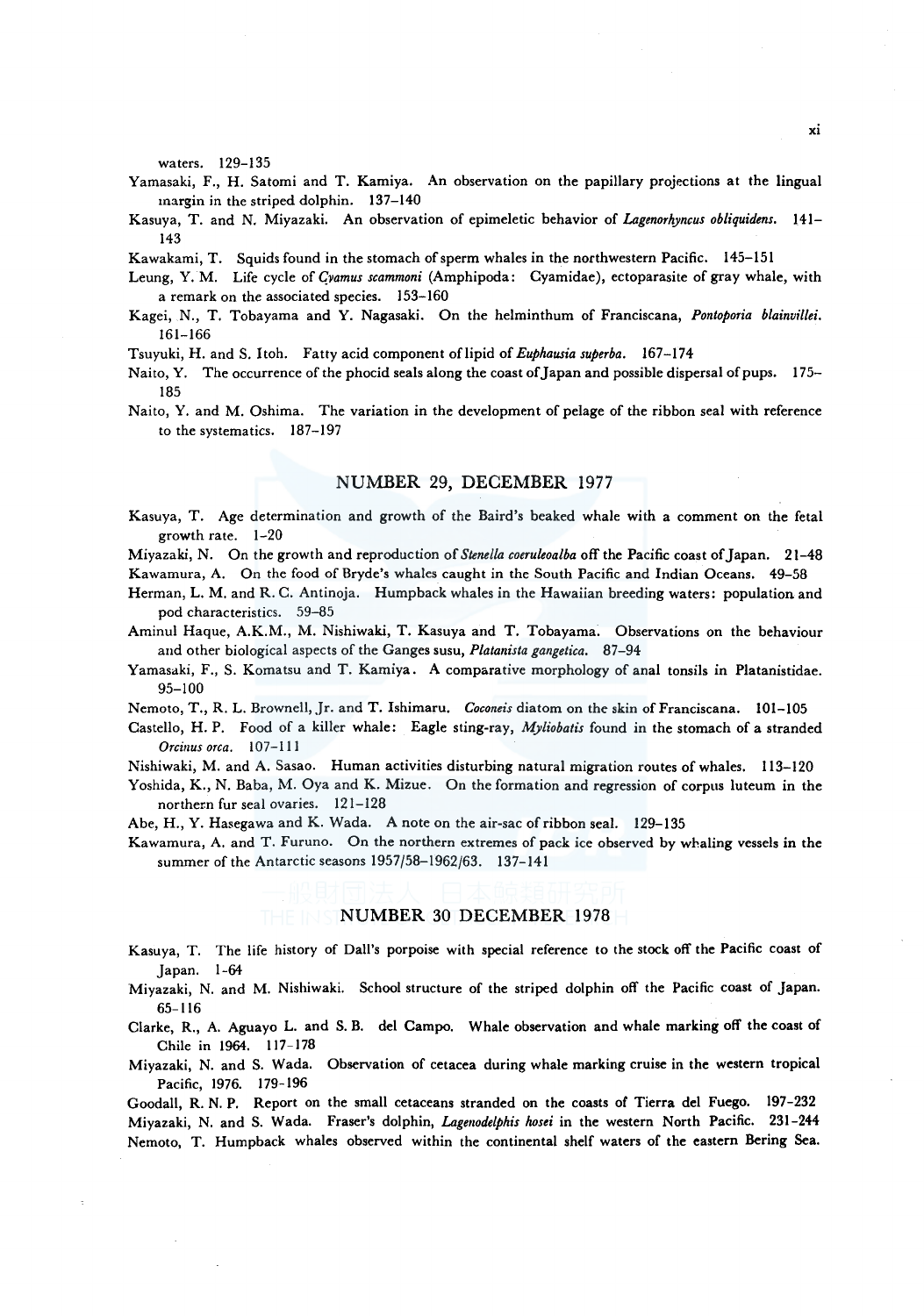waters. 129-135

- Yamasaki, F., H. Satomi and T. Kamiya. An observation on the papillary projections at the lingual margin in the striped dolphin. 137-140
- Kasuya, T. and N. Miyazaki. An observation of epimeletic behavior of *Lagenorhyncus obliquidens.* 141- 143

Kawakami, T. Squids found in the stomach of sperm whales in the northwestern Pacific. 145-151

- Leung, Y. M. Life cycle of *Cyamus scammoni* (Amphipoda: Cyamidae), ectoparasite of gray whale, with a remark on the associated species. 153-160
- Kagei, N., T. Tobayama and Y. Nagasaki. On the helminthum of Franciscana, *Pontoporia blainvillei.*  161-166
- Tsuyuki, H. and S. Itoh. Fatty acid component oflipid of *Euphausia superba.* 167-174
- Naito, Y. The occurrence of the phocid seals along the coast of Japan and possible dispersal of pups. 175- 185
- Naito, Y. and M. Oshima. The variation in the development of pelage of the ribbon seal with reference to the systematics. 187-197

## NUMBER 29, DECEMBER 1977

Kasuya, T. Age determination and growth of the Baird's beaked whale with a comment on the feta! growth rate. 1-20

Miyazaki, N. On the growth and reproduction of *Stene/la coeruleoalba* off the Pacific coast of Japan. 21-48

- Kawamura, A. On the food of Bryde's whales caught in the South Pacific and Indian Oceans. 49-58
- Herman, L. M. and R. C. Antinoja. Humpback whales in the Hawaiian breeding waters: population and pod characteristics. 59-85
- Aminul Haque, A.K.M., M. Nishiwaki, T. Kasuya and T. Tobayama. Observations *on* the behaviour and other biological aspects of the Ganges susu, *Platanista gangetica.* 87-94
- Yamasaki, F., S. Komatsu and T. Kamiya. A comparative morphology of anal tonsils in Platanistidae. 95-100
- Nemoto, T., R. L. Brownell, Jr. and T. Ishimaru. *Coconeis* diatom on the skin of Franciscana. 101-105
- Castello, H.P. Food of a killer whale: Eagle sting-ray, *Myliobatis* found in the stomach of a stranded *Orcinus orca.* 107-111

Nishiwaki, M. and A. Sasao. Human activities disturbing natural migration routes of whales. 113-120

Yoshida, K., N. Baba, M. Oya and K. Mizue. On the formation and regression of corpus luteum in the northern fur seal ovaries. 121-128

Abe, H., Y. Hasegawa and K. Wada. A note on the air-sac ofribbon seal. 129-135

Kawamura, A. and T. Furuno. On the northern extremes of pack ice observed by whaling vessels in the summer of the Antarctic seasons 1957/58-1962/63. 137-141

## NUMBER 30 DECEMBER 1978

Kasuya, T. The life history of Dall's porpoise with special reference to the stock off the Pacific coast of Japan. 1-64

Miyazaki, N. and M. Nishiwaki. School structure of the striped dolphin off the Pacific coast of Japan. 65-116

Clarke, R., A. Aguayo L. and S. B. de! Campo. Whale observation and whale marking off the coast of Chile in 1964. 117-178

Miyazaki, N. and S. Wada. Observation of cetacea during whale marking cruise in the western tropical Pacific, 1976. 179-196

Goodall, R. N. P. Report on the small cetaceans stranded on the coasts of Tierra de! Fuego. 197-232 Miyazaki, N. and S. Wada. Fraser's dolphin, *Lagenodelphis hosei* in the western North Pacific. 231-244 Nemoto, T. Humpback whales observed within the continental shelf waters of the eastern Bering Sea.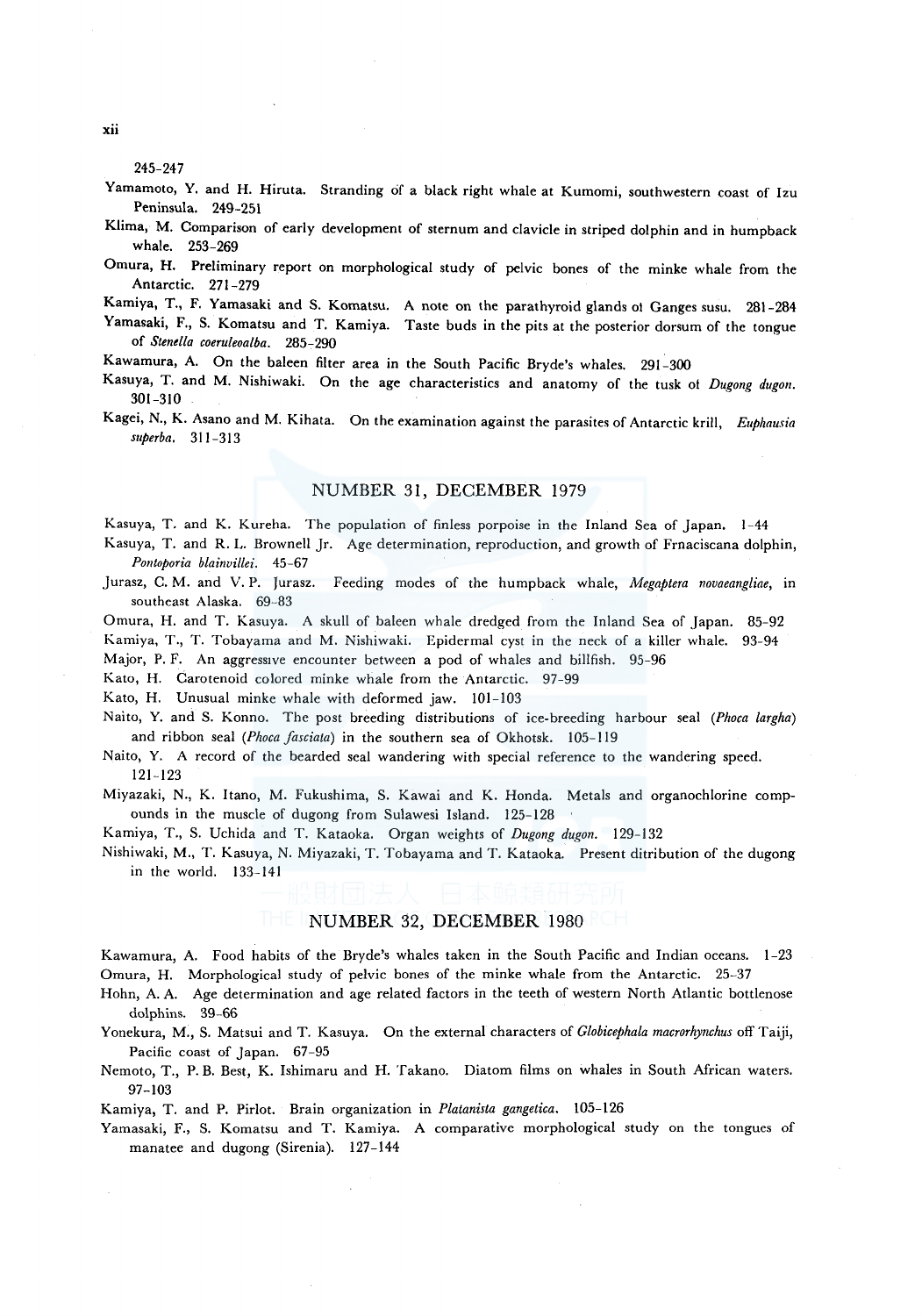245-247

- Yamamoto, Y. and H. Hiruta. Stranding of a black right whale at Kumomi, southwestern coast of Izu Peninsula. 249-251
- Klima, M. Comparison of early development of sternum and clavicle in striped dolphin and in humpback whale. 253-269
- Omura, H. Preliminary report on morphological study of pelvic bones of the minke whale from the Antarctic. 271-279
- Kamiya, T., F. Yamasaki and S. Komatsu. A note on the parathyroid glands ol Ganges susu. 281-284
- Yamasaki, F., S. Komatsu and T. Kamiya. Taste buds in the pits at the posterior dorsum of the tongue of *Stenella coeruleoalba.* 285-290
- Kawamura, A. On the baleen filter area in the South Pacific Bryde's whales. 291-300
- Kasuya, T. and M. Nishiwaki. On the age characteristics and anatomy of the tusk of *Dugong dugon*. 301-310
- Kagei, N., K. Asano and M. Kihata. On the examination against the parasites of Antarctic krill, *Euphausia superba.* 311-313

## NUMBER 31, DECEMBER 1979

Kasuya, T. and K. Kureha. The population of finless porpoise in the Inland Sea of Japan. 1-44

- Kasuya, T. and R. L. Brownell Jr. Age determination, reproduction, and growth of Frnaciscana dolphin, *Po11toporia blainvillei.* 45-67
- Jurasz, C. M. and V. P. Jurasz. Feeding modes of the humpback whale, *Megaptera novaeangliae,* in southeast Alaska. 69-83
- Omura, H. and T. Kasuya. A skull of baleen whale dredged from the Inland Sea of Japan. 85-92
- Kamiya, T., T. Tobayama and M. Nishiwaki. Epidermal cyst in the neck of a killer whale. 93-94
- Major, P. F. An aggressive encounter between a pod of whales and billfish. 95-96
- Kato, H. Carotenoid colored minke whale from the Antarctic. 97-99

Kato, H. Unusual minke whale with deformed jaw. 101-103

- Naito, Y. and S. Konno. The post breeding distributions of ice-breeding harbour seal *(Phoca largha)*  and ribbon seal *(Phoca fasciata)* in the southern sea of Okhotsk. 105-119
- Naito, Y. A record of the bearded seal wandering with special reference to the wandering speed. 121-123
- Miyazaki, N., K. Itano, M. Fukushima, S. Kawai and K. Honda. Metals and organochlorine compounds in the muscle of dugong from Sulawesi Island. 125-128
- Kamiya, T., S. Uchida and T. Kataoka. Organ weights of *Dugong dugon.* 129-132
- Nishiwaki, M., T. Kasuya, N. Miyazaki, T. Tobayama and T. Kataoka. Present ditribution of the dugong in the world. 133-141

# NUMBER 32, DECEMBER 1980

- Kawamura, A. Food habits of the Bryde's whales taken in the South Pacific and Indian oceans. 1-23 Omura, H. Morphological study of pelvic bones of the minke whale from the Antarctic. 25-37
- Hohn, A. A. Age determination and age related factors in the teeth of western North Atlantic bottlenose dolphins. 39-66
- Yonekura, M., S. Matsui and T. Kasuya. On the external characters of *Globicephala macrorhynchus* off Taiji, Pacific coast of Japan. 67-95
- Nemoto, T., P. B. Best, K. Ishimaru and H. Takano. Diatom films on whales in South African waters. 97-103
- Kamiya, T. and P. Pirlot. Brain organization in *Platanista gangetica.* 105-126
- Yamasaki, F., S. Komatsu and T. Kamiya. A comparative morphological study on the tongues of manatee and dugong (Sirenia). 127-144